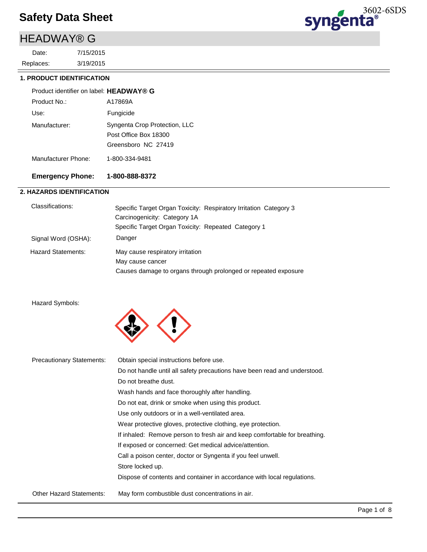# HEADWAY® G

3/19/2015 7/15/2015 Replaces: Date:



#### **1. PRODUCT IDENTIFICATION**

| Product identifier on label: HEADWAY® G |                                                                               |
|-----------------------------------------|-------------------------------------------------------------------------------|
| Product No.:                            | A17869A                                                                       |
| Use:                                    | Fungicide                                                                     |
| Manufacturer:                           | Syngenta Crop Protection, LLC<br>Post Office Box 18300<br>Greensboro NC 27419 |
| Manufacturer Phone:                     | 1-800-334-9481                                                                |

#### **Emergency Phone: 1-800-888-8372**

#### **2. HAZARDS IDENTIFICATION**

| Classifications:          | Specific Target Organ Toxicity: Respiratory Irritation Category 3<br>Carcinogenicity: Category 1A<br>Specific Target Organ Toxicity: Repeated Category 1 |
|---------------------------|----------------------------------------------------------------------------------------------------------------------------------------------------------|
| Signal Word (OSHA):       | Danger                                                                                                                                                   |
| <b>Hazard Statements:</b> | May cause respiratory irritation<br>May cause cancer<br>Causes damage to organs through prolonged or repeated exposure                                   |

#### Hazard Symbols:



| <b>Precautionary Statements:</b> | Obtain special instructions before use.                                    |
|----------------------------------|----------------------------------------------------------------------------|
|                                  | Do not handle until all safety precautions have been read and understood.  |
|                                  | Do not breathe dust.                                                       |
|                                  | Wash hands and face thoroughly after handling.                             |
|                                  | Do not eat, drink or smoke when using this product.                        |
|                                  | Use only outdoors or in a well-ventilated area.                            |
|                                  | Wear protective gloves, protective clothing, eye protection.               |
|                                  | If inhaled: Remove person to fresh air and keep comfortable for breathing. |
|                                  | If exposed or concerned: Get medical advice/attention.                     |
|                                  | Call a poison center, doctor or Syngenta if you feel unwell.               |
|                                  | Store locked up.                                                           |
|                                  | Dispose of contents and container in accordance with local regulations.    |
| Other Hazard Statements:         | May form combustible dust concentrations in air.                           |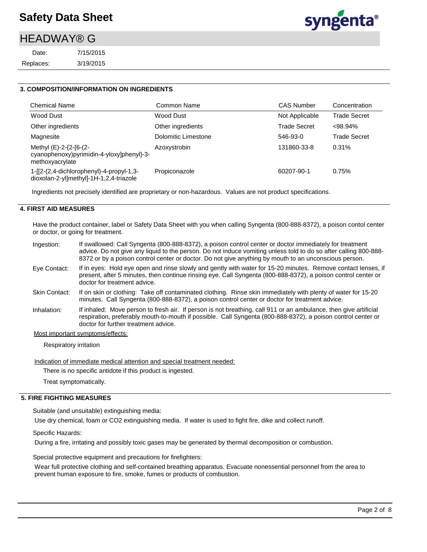# **HEADWAY® G**

3/19/2015 7/15/2015 Replaces: Date:



#### **3. COMPOSITION/INFORMATION ON INGREDIENTS**

| <b>Chemical Name</b>                                                                   | Common Name         | CAS Number          | Concentration       |
|----------------------------------------------------------------------------------------|---------------------|---------------------|---------------------|
| Wood Dust                                                                              | Wood Dust           | Not Applicable      | <b>Trade Secret</b> |
| Other ingredients                                                                      | Other ingredients   | <b>Trade Secret</b> | $< 98.94\%$         |
| Magnesite                                                                              | Dolomitic Limestone | 546-93-0            | <b>Trade Secret</b> |
| Methyl (E)-2-{2-[6-(2-<br>cyanophenoxy)pyrimidin-4-yloxy]phenyl}-3-<br>methoxyacrylate | Azoxystrobin        | 131860-33-8         | 0.31%               |
| 1-[[2-(2,4-dichlorophenyl)-4-propyl-1,3-<br>dioxolan-2-yl]methyl]-1H-1,2,4-triazole    | Propiconazole       | 60207-90-1          | 0.75%               |

Ingredients not precisely identified are proprietary or non-hazardous. Values are not product specifications.

#### **4. FIRST AID MEASURES**

Have the product container, label or Safety Data Sheet with you when calling Syngenta (800-888-8372), a poison contol center or doctor, or going for treatment.

| Ingestion:           | If swallowed: Call Syngenta (800-888-8372), a poison control center or doctor immediately for treatment<br>advice. Do not give any liquid to the person. Do not induce vomiting unless told to do so after calling 800-888-<br>8372 or by a poison control center or doctor. Do not give anything by mouth to an unconscious person. |
|----------------------|--------------------------------------------------------------------------------------------------------------------------------------------------------------------------------------------------------------------------------------------------------------------------------------------------------------------------------------|
| Eye Contact:         | If in eyes: Hold eye open and rinse slowly and gently with water for 15-20 minutes. Remove contact lenses, if<br>present, after 5 minutes, then continue rinsing eye. Call Syngenta (800-888-8372), a poison control center or<br>doctor for treatment advice.                                                                       |
| <b>Skin Contact:</b> | If on skin or clothing: Take off contaminated clothing. Rinse skin immediately with plenty of water for 15-20<br>minutes. Call Syngenta (800-888-8372), a poison control center or doctor for treatment advice.                                                                                                                      |
| Inhalation:          | If inhaled: Move person to fresh air. If person is not breathing, call 911 or an ambulance, then give artificial<br>respiration, preferably mouth-to-mouth if possible. Call Syngenta (800-888-8372), a poison control center or                                                                                                     |

#### Most important symptoms/effects:

Respiratory irritation

Indication of immediate medical attention and special treatment needed:

doctor for further treatment advice.

There is no specific antidote if this product is ingested.

Treat symptomatically.

#### **5. FIRE FIGHTING MEASURES**

Suitable (and unsuitable) extinguishing media:

Use dry chemical, foam or CO2 extinguishing media. If water is used to fight fire, dike and collect runoff.

Specific Hazards:

During a fire, irritating and possibly toxic gases may be generated by thermal decomposition or combustion.

Special protective equipment and precautions for firefighters:

Wear full protective clothing and self-contained breathing apparatus. Evacuate nonessential personnel from the area to prevent human exposure to fire, smoke, fumes or products of combustion.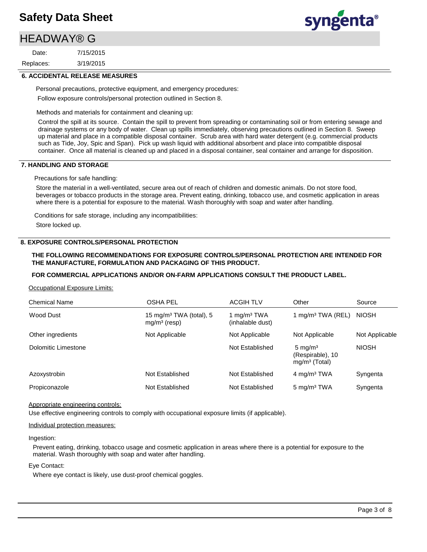# HEADWAY® G

3/19/2015 7/15/2015 Replaces: Date:



#### **6. ACCIDENTAL RELEASE MEASURES**

Personal precautions, protective equipment, and emergency procedures: Follow exposure controls/personal protection outlined in Section 8.

Methods and materials for containment and cleaning up:

Control the spill at its source. Contain the spill to prevent from spreading or contaminating soil or from entering sewage and drainage systems or any body of water. Clean up spills immediately, observing precautions outlined in Section 8. Sweep up material and place in a compatible disposal container. Scrub area with hard water detergent (e.g. commercial products such as Tide, Joy, Spic and Span). Pick up wash liquid with additional absorbent and place into compatible disposal container. Once all material is cleaned up and placed in a disposal container, seal container and arrange for disposition.

#### **7. HANDLING AND STORAGE**

Precautions for safe handling:

Store the material in a well-ventilated, secure area out of reach of children and domestic animals. Do not store food, beverages or tobacco products in the storage area. Prevent eating, drinking, tobacco use, and cosmetic application in areas where there is a potential for exposure to the material. Wash thoroughly with soap and water after handling.

Conditions for safe storage, including any incompatibilities: Store locked up.

#### **8. EXPOSURE CONTROLS/PERSONAL PROTECTION**

#### **THE FOLLOWING RECOMMENDATIONS FOR EXPOSURE CONTROLS/PERSONAL PROTECTION ARE INTENDED FOR THE MANUFACTURE, FORMULATION AND PACKAGING OF THIS PRODUCT.**

#### **FOR COMMERCIAL APPLICATIONS AND/OR ON-FARM APPLICATIONS CONSULT THE PRODUCT LABEL.**

Occupational Exposure Limits:

| <b>Chemical Name</b> | <b>OSHA PEL</b>                                       | <b>ACGIH TLV</b>                            | Other                                                     | Source         |
|----------------------|-------------------------------------------------------|---------------------------------------------|-----------------------------------------------------------|----------------|
| Wood Dust            | 15 mg/m <sup>3</sup> TWA (total), 5<br>$mg/m3$ (resp) | 1 mg/m <sup>3</sup> TWA<br>(inhalable dust) | 1 mg/m <sup>3</sup> TWA (REL)                             | <b>NIOSH</b>   |
| Other ingredients    | Not Applicable                                        | Not Applicable                              | Not Applicable                                            | Not Applicable |
| Dolomitic Limestone  |                                                       | Not Established                             | $5 \text{ mg/m}^3$<br>(Respirable), 10<br>$mq/m3$ (Total) | <b>NIOSH</b>   |
| Azoxystrobin         | Not Established                                       | Not Established                             | 4 mg/m <sup>3</sup> TWA                                   | Syngenta       |
| Propiconazole        | Not Established                                       | Not Established                             | $5 \text{ mg/m}^3$ TWA                                    | Syngenta       |

Appropriate engineering controls:

Use effective engineering controls to comply with occupational exposure limits (if applicable).

#### Individual protection measures:

Ingestion:

Prevent eating, drinking, tobacco usage and cosmetic application in areas where there is a potential for exposure to the material. Wash thoroughly with soap and water after handling.

#### Eye Contact:

Where eye contact is likely, use dust-proof chemical goggles.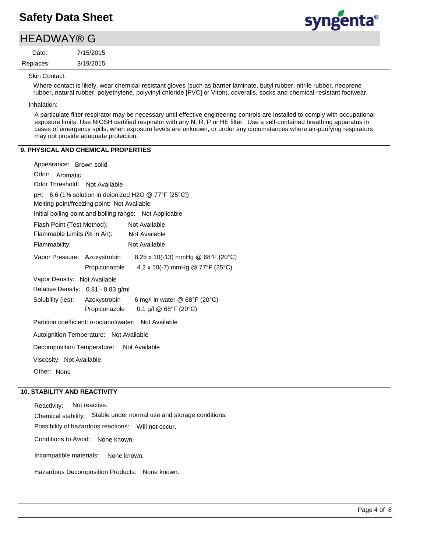# **HEADWAY® G**

3/19/2015 7/15/2015 Replaces: Date:



Skin Contact:

Where contact is likely, wear chemical-resistant gloves (such as barrier laminate, butyl rubber, nitrile rubber, neoprene rubber, natural rubber, polyethylene, polyvinyl chloride [PVC] or Viton), coveralls, socks and chemical-resistant footwear.

Inhalation:

A particulate filter respirator may be necessary until effective engineering controls are installed to comply with occupational exposure limits. Use NIOSH certified respirator with any N, R, P or HE filter. Use a self-contained breathing apparatus in cases of emergency spills, when exposure levels are unknown, or under any circumstances where air-purifying respirators may not provide adequate protection.

#### **9. PHYSICAL AND CHEMICAL PROPERTIES**

| Appearance: Brown solid                                           |
|-------------------------------------------------------------------|
| Odor:<br>Aromatic                                                 |
| Odor Threshold: Not Available                                     |
| pH: 6.6 (1% solution in deionized H2O @ 77°F [25°C])              |
| Melting point/freezing point: Not Available                       |
| Initial boiling point and boiling range: Not Applicable           |
| Flash Point (Test Method): Not Available                          |
| Flammable Limits (% in Air): Not Available                        |
| Not Available<br>Flammability:                                    |
| 8.25 x 10(-13) mmHg @ 68°F (20°C)<br>Vapor Pressure: Azoxystrobin |
| 4.2 x 10(-7) mmHg @ 77°F (25°C)<br>Propiconazole                  |
| Vapor Density: Not Available                                      |
| Relative Density: 0.81 - 0.83 g/ml                                |
| Solubility (ies): Azoxystrobin<br>6 mg/l in water @ 68°F (20°C)   |
| 0.1 g/l @ 68°F (20°C)<br>Propiconazole                            |
| Partition coefficient: n-octanol/water: Not Available             |
| Autoignition Temperature: Not Available                           |
| Decomposition Temperature: Not Available                          |
| Viscosity: Not Available                                          |
| Other: None                                                       |
|                                                                   |

#### **10. STABILITY AND REACTIVITY**

Incompatible materials: Possibility of hazardous reactions: Will not occur. Chemical stability: Stable under normal use and storage conditions. Hazardous Decomposition Products: None known. Reactivity: Not reactive. Conditions to Avoid: None known. None known.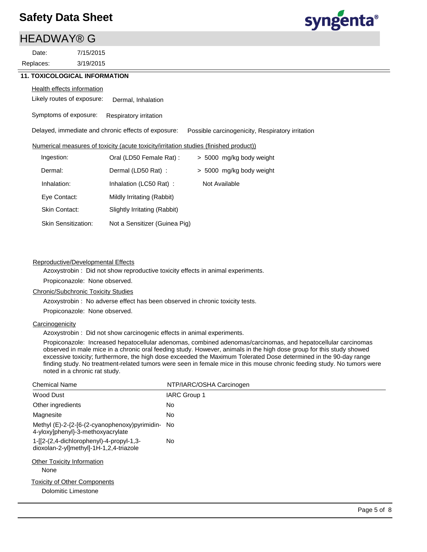## HEADWAY® G

3/19/2015 7/15/2015 Replaces: Date:

# syngenta®

#### **11. TOXICOLOGICAL INFORMATION**

#### **Health effects information**

Likely routes of exposure: Dermal, Inhalation

Symptoms of exposure: Respiratory irritation

Delayed, immediate and chronic effects of exposure: Possible carcinogenicity, Respiratory irritation

#### Numerical measures of toxicity (acute toxicity/irritation studies (finished product))

| Ingestion:                 | Oral (LD50 Female Rat):       | > 5000 mg/kg body weight |
|----------------------------|-------------------------------|--------------------------|
| Dermal:                    | Dermal (LD50 Rat):            | > 5000 mg/kg body weight |
| Inhalation:                | Inhalation (LC50 Rat):        | Not Available            |
| Eye Contact:               | Mildly Irritating (Rabbit)    |                          |
| Skin Contact:              | Slightly Irritating (Rabbit)  |                          |
| <b>Skin Sensitization:</b> | Not a Sensitizer (Guinea Pig) |                          |

#### Reproductive/Developmental Effects

Azoxystrobin : Did not show reproductive toxicity effects in animal experiments.

Propiconazole: None observed.

#### Chronic/Subchronic Toxicity Studies

Azoxystrobin : No adverse effect has been observed in chronic toxicity tests.

Propiconazole: None observed.

#### **Carcinogenicity**

Azoxystrobin : Did not show carcinogenic effects in animal experiments.

Propiconazole: Increased hepatocellular adenomas, combined adenomas/carcinomas, and hepatocellular carcinomas observed in male mice in a chronic oral feeding study. However, animals in the high dose group for this study showed excessive toxicity; furthermore, the high dose exceeded the Maximum Tolerated Dose determined in the 90-day range finding study. No treatment-related tumors were seen in female mice in this mouse chronic feeding study. No tumors were noted in a chronic rat study.

| <b>Chemical Name</b>                                                               | NTP/IARC/OSHA Carcinogen |
|------------------------------------------------------------------------------------|--------------------------|
| Wood Dust                                                                          | <b>IARC Group 1</b>      |
| Other ingredients                                                                  | <b>No</b>                |
| Magnesite                                                                          | No.                      |
| Methyl (E)-2-{2-[6-(2-cyanophenoxy)pyrimidin-<br>4-yloxy]phenyl}-3-methoxyacrylate | No.                      |
| 1-[2-(2,4-dichlorophenyl)-4-propyl-1,3-<br>dioxolan-2-yl]methyl]-1H-1,2,4-triazole | <b>No</b>                |
| <b>Other Toxicity Information</b><br>None                                          |                          |
| <b>Toxicity of Other Components</b><br>Dolomitic Limestone                         |                          |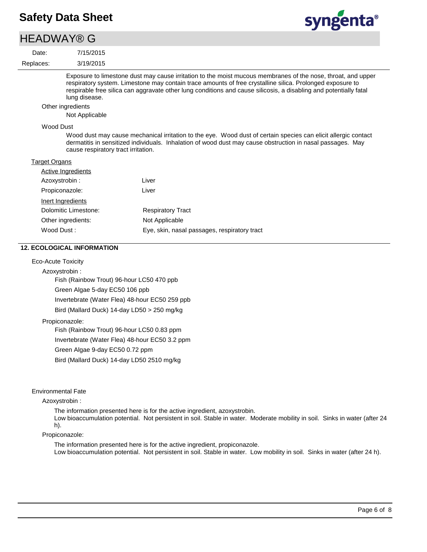### **HEADWAY® G**

3/19/2015 7/15/2015 Replaces: Date:



Exposure to limestone dust may cause irritation to the moist mucous membranes of the nose, throat, and upper respiratory system. Limestone may contain trace amounts of free crystalline silica. Prolonged exposure to respirable free silica can aggravate other lung conditions and cause silicosis, a disabling and potentially fatal lung disease.

#### Other ingredients

Not Applicable

#### Wood Dust

Wood dust may cause mechanical irritation to the eye. Wood dust of certain species can elicit allergic contact dermatitis in sensitized individuals. Inhalation of wood dust may cause obstruction in nasal passages. May cause respiratory tract irritation.

#### **Target Organs**

| Active Ingredients   |                                              |
|----------------------|----------------------------------------------|
| Azoxystrobin:        | Liver                                        |
| Propiconazole:       | Liver                                        |
| Inert Ingredients    |                                              |
| Dolomitic Limestone: | <b>Respiratory Tract</b>                     |
| Other ingredients:   | Not Applicable                               |
| Wood Dust:           | Eye, skin, nasal passages, respiratory tract |

#### **12. ECOLOGICAL INFORMATION**

Eco-Acute Toxicity

Azoxystrobin :

Fish (Rainbow Trout) 96-hour LC50 470 ppb Green Algae 5-day EC50 106 ppb Invertebrate (Water Flea) 48-hour EC50 259 ppb Bird (Mallard Duck) 14-day LD50 > 250 mg/kg

#### Propiconazole:

Fish (Rainbow Trout) 96-hour LC50 0.83 ppm Invertebrate (Water Flea) 48-hour EC50 3.2 ppm Green Algae 9-day EC50 0.72 ppm Bird (Mallard Duck) 14-day LD50 2510 mg/kg

#### Environmental Fate

Azoxystrobin :

The information presented here is for the active ingredient, azoxystrobin. Low bioaccumulation potential. Not persistent in soil. Stable in water. Moderate mobility in soil. Sinks in water (after 24 h).

#### Propiconazole:

The information presented here is for the active ingredient, propiconazole. Low bioaccumulation potential. Not persistent in soil. Stable in water. Low mobility in soil. Sinks in water (after 24 h).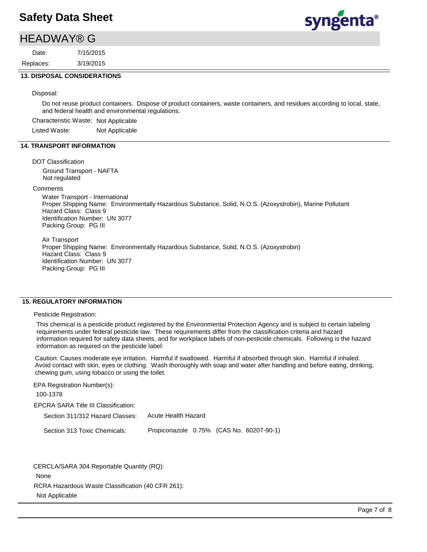### HEADWAY® G

3/19/2015 7/15/2015 Replaces: Date:



#### **13. DISPOSAL CONSIDERATIONS**

#### Disposal:

Do not reuse product containers. Dispose of product containers, waste containers, and residues according to local, state, and federal health and environmental regulations.

Characteristic Waste: Not Applicable

Listed Waste: Not Applicable

#### **14. TRANSPORT INFORMATION**

#### DOT Classification

Ground Transport - NAFTA Not regulated

#### **Comments**

Water Transport - International Proper Shipping Name: Environmentally Hazardous Substance, Solid, N.O.S. (Azoxystrobin), Marine Pollutant Hazard Class: Class 9 Identification Number: UN 3077 Packing Group: PG III

Air Transport Proper Shipping Name: Environmentally Hazardous Substance, Solid, N.O.S. (Azoxystrobin) Hazard Class: Class 9 Identification Number: UN 3077 Packing Group: PG III

#### **15. REGULATORY INFORMATION**

#### Pesticide Registration:

This chemical is a pesticide product registered by the Environmental Protection Agency and is subject to certain labeling requirements under federal pesticide law. These requirements differ from the classification criteria and hazard information required for safety data sheets, and for workplace labels of non-pesticide chemicals. Following is the hazard information as required on the pesticide label:

Caution: Causes moderate eye irritation. Harmful if swallowed. Harmful if absorbed through skin. Harmful if inhaled. Avoid contact with skin, eyes or clothing. Wash thoroughly with soap and water after handling and before eating, drinking, chewing gum, using tobacco or using the toilet.

| EPA Registration Number(s):          |                                          |  |
|--------------------------------------|------------------------------------------|--|
| 100-1378                             |                                          |  |
| EPCRA SARA Title III Classification: |                                          |  |
| Section 311/312 Hazard Classes:      | Acute Health Hazard                      |  |
| Section 313 Toxic Chemicals:         | Propiconazole 0.75% (CAS No. 60207-90-1) |  |

RCRA Hazardous Waste Classification (40 CFR 261): Not Applicable CERCLA/SARA 304 Reportable Quantity (RQ): None